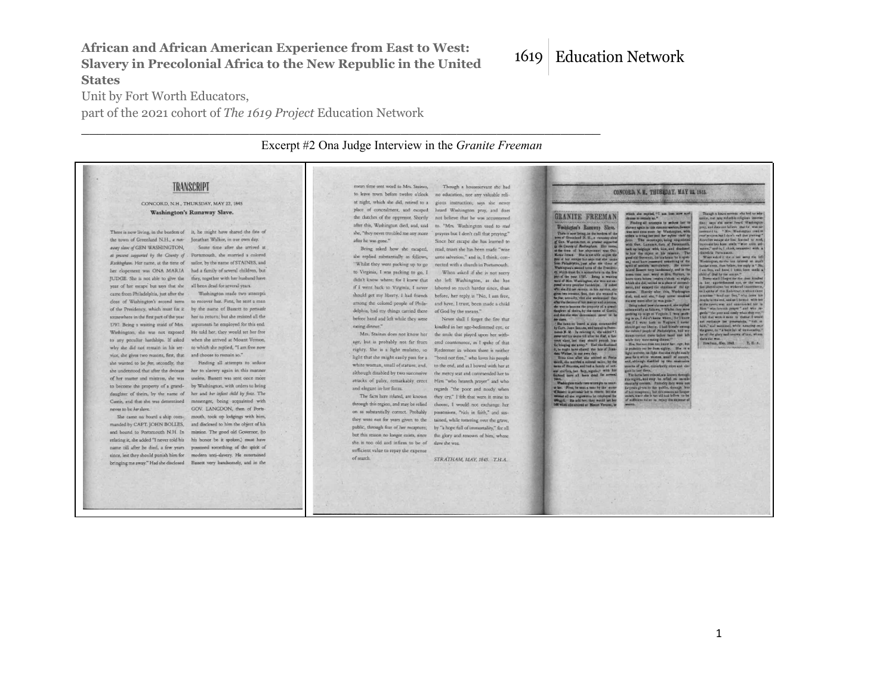#### **African and African American Experience from East to West: Slavery in Precolonial Africa to the New Republic in the United States**

\_\_\_\_\_\_\_\_\_\_\_\_\_\_\_\_\_\_\_\_\_\_\_\_\_\_\_\_\_\_\_\_\_\_\_\_\_\_\_\_\_\_\_\_\_\_\_\_\_\_\_\_\_\_\_\_\_\_\_\_\_\_\_\_\_

### 1619 Education Network

Unit by Fort Worth Educators, part of the 2021 cohort of *The 1619 Project* Education Network

#### Excerpt #2 Ona Judge Interview in the *Granite Freeman* TRANSCRIPT mean time sent word to Mrs. Staines, Though a housesirvant she had CONCORD, N. H., THURSDAY, MAY 22, 1845. to leave town before twelve o'clock no education, nor any valuable reli-CONCORD, N.H., THURSDAY, MAY 22, 1845 at night, which she did, retired to a gious instruction; says she never place of concealment, and escaped heard Washington pray, and does Washington's Runaway Slave. GRANITE FREEMAN the clutches of the oppressor. Shortly not believe that he was accustomed since, not any entertainment of the biafter this, Washington died, and, said to. "Mrs. Washington used to read Washington's Running Shee. While the state of the state of the state of the state of the state of the state of the state of the state of the state of the state of the state of the state of the state of the state of the state of the state of the sta There is now living, in the borders of it, he might have shared the fate of she, "they never troubled me any more " prayers but I don't call that praying." the town of Greenland N.H., « nu- Jonathan Walker, in our own day. after he was gone." Since her escape she has learned to away slove of GEN WASHINGTON, Some time after she arrived at Being asked how she escaped, read, trusts she has been made "wise at present supported by the County of . Portsmouth, she married a colored she replied substantially as follows, unto salvation," and is, I think, con-Rackhayhaw. Her name, at the time of sailor, by the name of STAINES, and "Whilst they were packing up to go nected with a church in Portumouth. Which process that there is the President of the President space of the President space of the space of the space of the space of the space of the space of the space of the space of the space of the space of the space of her elopement was ONA MARIA had a family of several children, but to Virginia, I was packing to go, I When asked if she is not sorry JUDGE. She is not able to give the they, together with her husband have here takes below teacher of<br>the state of the state of the state of a matrix, and state<br>particle is stated as a matrix of  $\tau$  particle and state<br> $\tau$  and the state of the state of the state of the state<br> $\tau$  and the state didn't know where: for I know that she left Washington, as she has year of her escape but says that she all been dead for several years. if I went back to Virginia, I nover labored to much harder since, than came from Philadelphia, just after the Washington made two attempts should get my liberty. I had friends before, her reply is "No, I am free, close of Washington's second term to recover her. First, he sent a man among the colored people of Phila- and have, I trust, been made a child of the Presidency, which must fix it by the name of Bassett to persuade delphia, had my things carried there of God by the means." somewhere in the first part of the year her to return; but she resisted all the before hand and left while they were Never shall I forget the fire that de force, has a lower<br> $k$  sing, communist by Cars, has forced as been a lower<br>by Carr, has forced as the control from the control of the mean of<br> $\mathbb{R}^d$ . It is controlled as a lower property that is<br>a controlled proper 1797. Being a waiting maid of Mrs. arguments he employed for this end. eating dinner." kindled in her age-bedimmed eye, or Washington, she was not exposed. He told her, they would set her free Mrs. Staines does not know her the smile that played upon her withto any negaliar hardships. If asked when she arrived at Mount Vernon. age, but is probably not far from ered countenance, as I stude of that why she did not remain in his ser- to which she replied, "I am free now eighty. She is a light mulatto, so Redeemer in whom there is neither ti have shared the late of Jones<br>See, is our own day.<br>Give after the arrived of Perio<br>constructs, and had a family of sev.<br>fournes, and had a family of sev.<br>co, but they, regular twith has vior, she gives two reasons, first, that and choose to remain so." light that she might easily pass for a "bond nor free," who loves his people she wanted to be free secondly, that Finding all attempts to aduce white woman, small of stature, and, to the end, and as I howed with her at she understood that after the decease her to alayery again in this manner chiforn, but they, signified with her although disabled by two successive the mercy seat and commended her to of her matter and mistress, she was useless, Bassett was sent once more attacks of palsy, remarkably erect Him "who heareth priyer" and who to become the property of a grand- by Washington, with orders to bring and elegant in her form. The regards "the poor and needy when daughter of theirs, by the name of her and her infant child by foxe. The The facts here related, are known they cry," I felt that were it mine to Custis, and that she was determined messenger, being acquainted with through this region, and may be relied choose, I would not exchange her never to be her slave. GOV. LANGDON, then of Portson as substantially correct. Probably possessions, "rich in faith," and sus-She came on board a ship com- mouth, took up lodgings with him, they were not for years given to the tained, while tottering over the grave, manded by CAPT. JOHN BOLLES, and disclosed to him the object of his public, through fear of her recapture; by "a hope full of immortality," for all and bound to Portsmouth N.H. In mission. The good old Governor, &o but this reason no longer exists, since the glory and renown of him, whose relating it, she added "I never told his his honor be it spoken.) must have she is too old and infirm to be of slave she was. name till after he died, a few years possessed something of the spirit of sufficient value to repay the expense since, lest they should punish him for modern anti-davery. He entertained of search. STRATHAM, MAY, 1845. T.H.A. bringing me away." Had she disclosed Bassett very handsomely, and in the

#### 1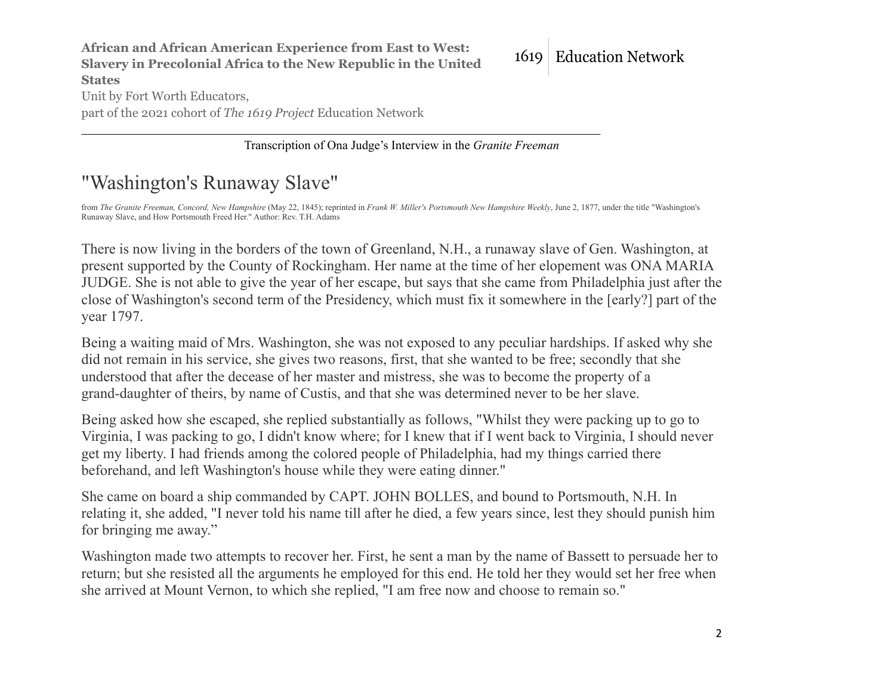#### **African and African American Experience from East to West: Slavery in Precolonial Africa to the New Republic in the United States** Unit by Fort Worth Educators,

#### part of the 2021 cohort of *The 1619 Project* Education Network

Transcription of Ona Judge's Interview in the *Granite Freeman*

\_\_\_\_\_\_\_\_\_\_\_\_\_\_\_\_\_\_\_\_\_\_\_\_\_\_\_\_\_\_\_\_\_\_\_\_\_\_\_\_\_\_\_\_\_\_\_\_\_\_\_\_\_\_\_\_\_\_\_\_\_\_\_\_\_

# "Washington's Runaway Slave"

from *The Granite Freeman, Concord, New Hampshire* (May 22, 1845); reprinted in *Frank W. Miller's Portsmouth New Hampshire Weekly*, June 2, 1877, under the title "Washington's Runaway Slave, and How Portsmouth Freed Her." Author: Rev. T.H. Adams

There is now living in the borders of the town of Greenland, N.H., a runaway slave of Gen. Washington, at present supported by the County of Rockingham. Her name at the time of her elopement was ONA MARIA JUDGE. She is not able to give the year of her escape, but says that she came from Philadelphia just after the close of Washington's second term of the Presidency, which must fix it somewhere in the [early?] part of the year 1797.

Being a waiting maid of Mrs. Washington, she was not exposed to any peculiar hardships. If asked why she did not remain in his service, she gives two reasons, first, that she wanted to be free; secondly that she understood that after the decease of her master and mistress, she was to become the property of a grand-daughter of theirs, by name of Custis, and that she was determined never to be her slave.

Being asked how she escaped, she replied substantially as follows, "Whilst they were packing up to go to Virginia, I was packing to go, I didn't know where; for I knew that if I went back to Virginia, I should never get my liberty. I had friends among the colored people of Philadelphia, had my things carried there beforehand, and left Washington's house while they were eating dinner."

She came on board a ship commanded by CAPT. JOHN BOLLES, and bound to Portsmouth, N.H. In relating it, she added, "I never told his name till after he died, a few years since, lest they should punish him for bringing me away."

Washington made two attempts to recover her. First, he sent a man by the name of Bassett to persuade her to return; but she resisted all the arguments he employed for this end. He told her they would set her free when she arrived at Mount Vernon, to which she replied, "I am free now and choose to remain so."

## 1619 Education Network